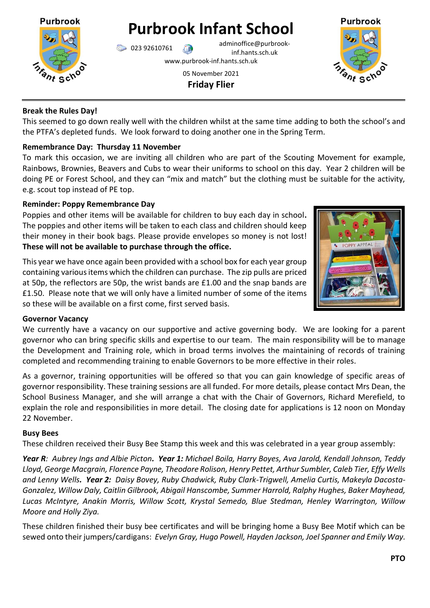

**Purbrook Infant School**

023 92610761 adminoffice@purbrookinf.hants.sch.uk

www.purbrook-inf.hants.sch.uk

05 November 2021 **Friday Flier**



### **Break the Rules Day!**

This seemed to go down really well with the children whilst at the same time adding to both the school's and the PTFA's depleted funds. We look forward to doing another one in the Spring Term.

#### **Remembrance Day: Thursday 11 November**

To mark this occasion, we are inviting all children who are part of the Scouting Movement for example, Rainbows, Brownies, Beavers and Cubs to wear their uniforms to school on this day. Year 2 children will be doing PE or Forest School, and they can "mix and match" but the clothing must be suitable for the activity, e.g. scout top instead of PE top.

#### **Reminder: Poppy Remembrance Day**

Poppies and other items will be available for children to buy each day in school**.**  The poppies and other items will be taken to each class and children should keep their money in their book bags. Please provide envelopes so money is not lost! **These will not be available to purchase through the office.**

This year we have once again been provided with a school box for each year group containing various items which the children can purchase. The zip pulls are priced at 50p, the reflectors are 50p, the wrist bands are £1.00 and the snap bands are £1.50. Please note that we will only have a limited number of some of the items so these will be available on a first come, first served basis.



#### **Governor Vacancy**

We currently have a vacancy on our supportive and active governing body. We are looking for a parent governor who can bring specific skills and expertise to our team. The main responsibility will be to manage the Development and Training role, which in broad terms involves the maintaining of records of training completed and recommending training to enable Governors to be more effective in their roles.

As a governor, training opportunities will be offered so that you can gain knowledge of specific areas of governor responsibility. These training sessions are all funded. For more details, please contact Mrs Dean, the School Business Manager, and she will arrange a chat with the Chair of Governors, Richard Merefield, to explain the role and responsibilities in more detail. The closing date for applications is 12 noon on Monday 22 November.

#### **Busy Bees**

These children received their Busy Bee Stamp this week and this was celebrated in a year group assembly:

*Year R: Aubrey Ings and Albie Picton. Year 1: Michael Boila, Harry Boyes, Ava Jarold, Kendall Johnson, Teddy Lloyd, George Macgrain, Florence Payne, Theodore Rolison, Henry Pettet, Arthur Sumbler, Caleb Tier, Effy Wells and Lenny Wells. Year 2: Daisy Bovey, Ruby Chadwick, Ruby Clark-Trigwell, Amelia Curtis, Makeyla Dacosta-Gonzalez, Willow Daly, Caitlin Gilbrook, Abigail Hanscombe, Summer Harrold, Ralphy Hughes, Baker Mayhead, Lucas McIntyre, Anakin Morris, Willow Scott, Krystal Semedo, Blue Stedman, Henley Warrington, Willow Moore and Holly Ziya.*

These children finished their busy bee certificates and will be bringing home a Busy Bee Motif which can be sewed onto their jumpers/cardigans: *Evelyn Gray, Hugo Powell, Hayden Jackson, Joel Spanner and Emily Way.*